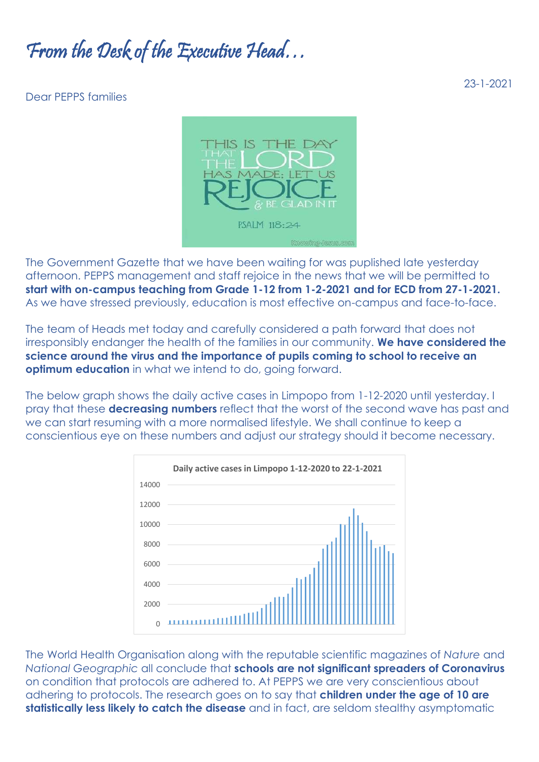## From the Desk of the Executive Head…

## Dear PEPPS families



The Government Gazette that we have been waiting for was puplished late yesterday afternoon. PEPPS management and staff rejoice in the news that we will be permitted to **start with on-campus teaching from Grade 1-12 from 1-2-2021 and for ECD from 27-1-2021.** As we have stressed previously, education is most effective on-campus and face-to-face.

The team of Heads met today and carefully considered a path forward that does not irresponsibly endanger the health of the families in our community. **We have considered the science around the virus and the importance of pupils coming to school to receive an optimum education** in what we intend to do, going forward.

The below graph shows the daily active cases in Limpopo from 1-12-2020 until yesterday. I pray that these **decreasing numbers** reflect that the worst of the second wave has past and we can start resuming with a more normalised lifestyle. We shall continue to keep a conscientious eye on these numbers and adjust our strategy should it become necessary.



The World Health Organisation along with the reputable scientific magazines of *Nature* and *National Geographic* all conclude that **schools are not significant spreaders of Coronavirus** on condition that protocols are adhered to. At PEPPS we are very conscientious about adhering to protocols. The research goes on to say that **children under the age of 10 are statistically less likely to catch the disease** and in fact, are seldom stealthy asymptomatic

23-1-2021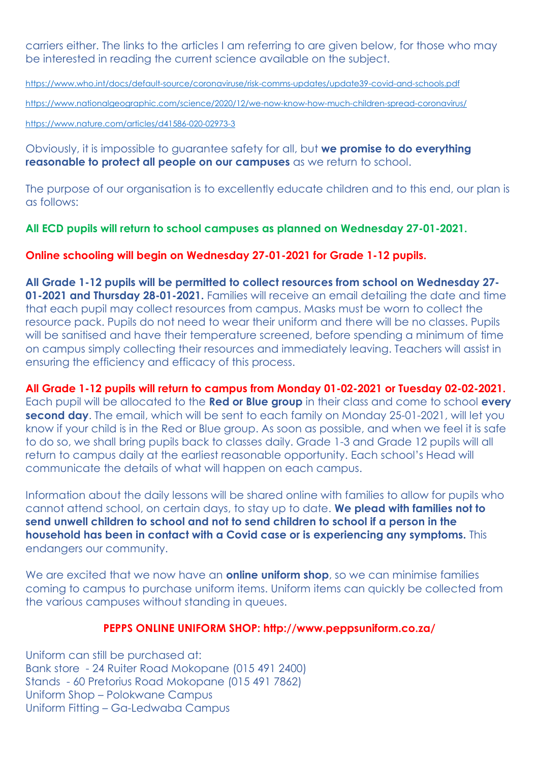carriers either. The links to the articles I am referring to are given below, for those who may be interested in reading the current science available on the subject.

<https://www.who.int/docs/default-source/coronaviruse/risk-comms-updates/update39-covid-and-schools.pdf>

<https://www.nationalgeographic.com/science/2020/12/we-now-know-how-much-children-spread-coronavirus/>

<https://www.nature.com/articles/d41586-020-02973-3>

Obviously, it is impossible to guarantee safety for all, but **we promise to do everything reasonable to protect all people on our campuses** as we return to school.

The purpose of our organisation is to excellently educate children and to this end, our plan is as follows:

**All ECD pupils will return to school campuses as planned on Wednesday 27-01-2021.**

## **Online schooling will begin on Wednesday 27-01-2021 for Grade 1-12 pupils.**

**All Grade 1-12 pupils will be permitted to collect resources from school on Wednesday 27- 01-2021 and Thursday 28-01-2021.** Families will receive an email detailing the date and time that each pupil may collect resources from campus. Masks must be worn to collect the resource pack. Pupils do not need to wear their uniform and there will be no classes. Pupils will be sanitised and have their temperature screened, before spending a minimum of time on campus simply collecting their resources and immediately leaving. Teachers will assist in ensuring the efficiency and efficacy of this process.

**All Grade 1-12 pupils will return to campus from Monday 01-02-2021 or Tuesday 02-02-2021.** Each pupil will be allocated to the **Red or Blue group** in their class and come to school **every second day**. The email, which will be sent to each family on Monday 25-01-2021, will let you know if your child is in the Red or Blue group. As soon as possible, and when we feel it is safe to do so, we shall bring pupils back to classes daily. Grade 1-3 and Grade 12 pupils will all return to campus daily at the earliest reasonable opportunity. Each school's Head will communicate the details of what will happen on each campus.

Information about the daily lessons will be shared online with families to allow for pupils who cannot attend school, on certain days, to stay up to date. **We plead with families not to send unwell children to school and not to send children to school if a person in the household has been in contact with a Covid case or is experiencing any symptoms.** This endangers our community.

We are excited that we now have an **online uniform shop**, so we can minimise families coming to campus to purchase uniform items. Uniform items can quickly be collected from the various campuses without standing in queues.

## **PEPPS ONLINE UNIFORM SHOP: http://www.peppsuniform.co.za/**

Uniform can still be purchased at: Bank store - 24 Ruiter Road Mokopane (015 491 2400) Stands - 60 Pretorius Road Mokopane (015 491 7862) Uniform Shop – Polokwane Campus Uniform Fitting – Ga-Ledwaba Campus